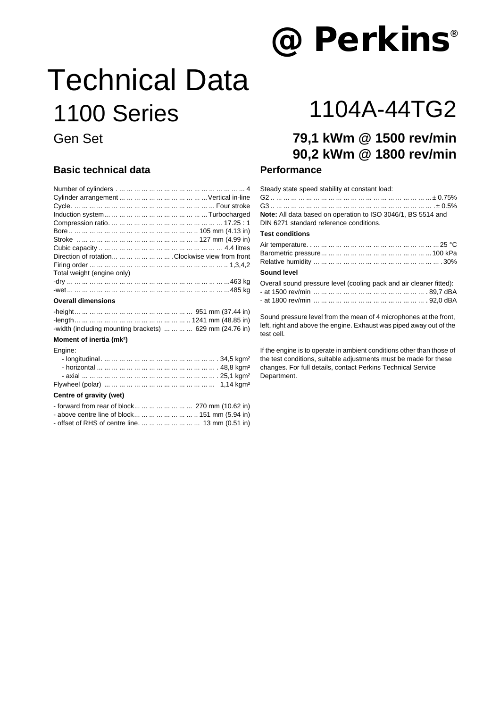# **@Perkins ®**

# Technical Data 1100 Series 1104A-44TG2

### **Basic technical data**

| Direction of rotation        Clockwise view from front     |
|------------------------------------------------------------|
|                                                            |
| Total weight (engine only)                                 |
|                                                            |
|                                                            |
| <b>Overall dimensions</b>                                  |
|                                                            |
|                                                            |
| -width (including mounting brackets)     629 mm (24.76 in) |
| Moment of inertia (mk <sup>2</sup> )                       |
| Engine:                                                    |
|                                                            |
|                                                            |
|                                                            |

#### Flywheel (polar) ... ... ... ... ... ... ... ... ... ... ... ... ... ... ... 1,14 kgm²

#### **Centre of gravity (wet)**

| - forward from rear of block        270 mm (10.62 in) |                                                                                            |
|-------------------------------------------------------|--------------------------------------------------------------------------------------------|
| - above centre line of block        151 mm (5.94 in)  |                                                                                            |
|                                                       | $\mathbf{a}$ $\mathbf{a}$ $\mathbf{a}$ $\mathbf{a}$ $\mathbf{a}$ $\mathbf{a}$ $\mathbf{a}$ |

- offset of RHS of centre line. ... ... ... ... ... ... ... ... 13 mm (0.51 in)

## Gen Set **79,1 kWm @ 1500 rev/min 90,2 kWm @ 1800 rev/min**

#### **Performance**

| Steady state speed stability at constant load:                                                          |
|---------------------------------------------------------------------------------------------------------|
|                                                                                                         |
| Note: All data based on operation to ISO 3046/1, BS 5514 and<br>DIN 6271 standard reference conditions. |
| <b>Test conditions</b>                                                                                  |
|                                                                                                         |
|                                                                                                         |

#### **Sound level**

| Overall sound pressure level (cooling pack and air cleaner fitted): |
|---------------------------------------------------------------------|
|                                                                     |
|                                                                     |

Sound pressure level from the mean of 4 microphones at the front, left, right and above the engine. Exhaust was piped away out of the test cell.

If the engine is to operate in ambient conditions other than those of the test conditions, suitable adjustments must be made for these changes. For full details, contact Perkins Technical Service Department.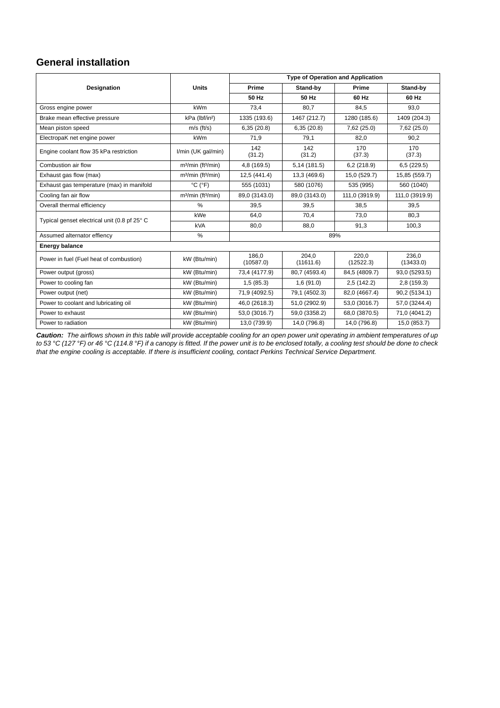### **General installation**

|                                              |                                            | <b>Type of Operation and Application</b> |                    |                    |                    |
|----------------------------------------------|--------------------------------------------|------------------------------------------|--------------------|--------------------|--------------------|
| <b>Designation</b>                           | <b>Units</b>                               | Prime                                    | Stand-by           |                    | Stand-by           |
|                                              |                                            | 50 Hz                                    | 50 Hz              | 60 Hz              | 60 Hz              |
| Gross engine power                           | <b>kWm</b>                                 | 73,4                                     | 80,7               | 84,5               | 93,0               |
| Brake mean effective pressure                | kPa (lbf/in <sup>2</sup> )                 | 1335 (193.6)                             | 1467 (212.7)       | 1280 (185.6)       | 1409 (204.3)       |
| Mean piston speed                            | $m/s$ (ft/s)                               | 6,35(20.8)                               | 6,35(20.8)         | 7,62 (25.0)        | 7,62 (25.0)        |
| ElectropaK net engine power                  | <b>kWm</b>                                 | 71,9                                     | 79,1               | 82,0               | 90,2               |
| Engine coolant flow 35 kPa restriction       | I/min (UK gal/min)                         | 142<br>(31.2)                            | 142<br>(31.2)      | 170<br>(37.3)      | 170<br>(37.3)      |
| Combustion air flow                          | $m3/min$ (ft <sup>3</sup> /min)            | 4,8 (169.5)                              | 5,14 (181.5)       | 6,2(218.9)         | 6,5(229.5)         |
| Exhaust gas flow (max)                       | m <sup>3</sup> /min (ft <sup>3</sup> /min) | 12,5(441.4)                              | 13,3 (469.6)       | 15,0 (529.7)       | 15,85 (559.7)      |
| Exhaust gas temperature (max) in manifold    | $^{\circ}$ C ( $^{\circ}$ F)               | 555 (1031)                               | 580 (1076)         | 535 (995)          | 560 (1040)         |
| Cooling fan air flow                         | $m3/min$ (ft <sup>3</sup> /min)            | 89,0 (3143.0)                            | 89,0 (3143.0)      | 111,0 (3919.9)     | 111,0 (3919.9)     |
| Overall thermal efficiency                   | $\frac{0}{0}$                              | 39.5                                     | 39.5               | 38.5               | 39,5               |
| Typical genset electrical unit (0.8 pf 25° C | kWe                                        | 64.0                                     | 70.4               | 73.0               | 80,3               |
|                                              | <b>kVA</b>                                 | 80,0                                     | 88,0               | 91,3               | 100,3              |
| Assumed alternator effiency                  | $\%$                                       | 89%                                      |                    |                    |                    |
| <b>Energy balance</b>                        |                                            |                                          |                    |                    |                    |
| Power in fuel (Fuel heat of combustion)      | kW (Btu/min)                               | 186.0<br>(10587.0)                       | 204.0<br>(11611.6) | 220.0<br>(12522.3) | 236.0<br>(13433.0) |
| Power output (gross)                         | kW (Btu/min)                               | 73,4 (4177.9)                            | 80,7 (4593.4)      | 84,5 (4809.7)      | 93,0 (5293.5)      |
| Power to cooling fan                         | kW (Btu/min)                               | 1,5(85.3)                                | 1,6(91.0)          | 2,5(142.2)         | 2,8(159.3)         |
| Power output (net)                           | kW (Btu/min)                               | 71,9 (4092.5)                            | 79,1 (4502.3)      | 82,0 (4667.4)      | 90,2 (5134.1)      |
| Power to coolant and lubricating oil         | kW (Btu/min)                               | 46,0 (2618.3)                            | 51,0 (2902.9)      | 53,0 (3016.7)      | 57,0 (3244.4)      |
| Power to exhaust                             | kW (Btu/min)                               | 53,0 (3016.7)                            | 59,0 (3358.2)      | 68,0 (3870.5)      | 71,0 (4041.2)      |
| Power to radiation                           | kW (Btu/min)                               | 13,0 (739.9)                             | 14,0 (796.8)       | 14,0 (796.8)       | 15,0 (853.7)       |

*Caution: The airflows shown in this table will provide acceptable cooling for an open power unit operating in ambient temperatures of up to 53 °C (127 °F) or 46 °C (114.8 °F) if a canopy is fitted. If the power unit is to be enclosed totally, a cooling test should be done to check that the engine cooling is acceptable. If there is insufficient cooling, contact Perkins Technical Service Department.*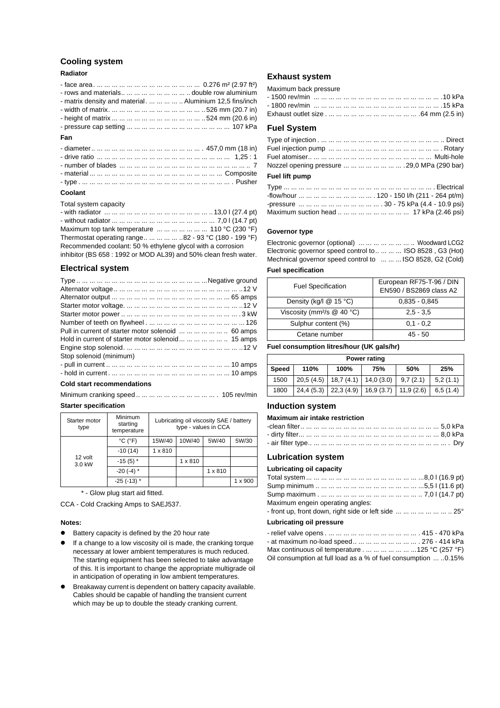#### **Cooling system**

#### **Radiator**

- face area. ... ... ... ... ... ... ... ... ... ... ... ... ... ... 0.276 m² (2.97 ft²)
- rows and materials.. ... ... ... ... ... ... ... ... double row aluminium
- matrix density and material. ... ... ... ... .. Aluminium 12,5 fins/inch
- width of matrix. ... ... ... ... ... ... ... ... ... ... ... ... .. 526 mm (20.7 in) - height of matrix ... ... ... ... ... ... ... ... ... ... ... ... ..524 mm (20.6 in)
- pressure cap setting ... ... ... ... ... ... ... ... ... ... ... ... ... ... 107 kPa
- **Fan**

#### **Coolant**

Total system capacity

| Maximum top tank temperature        110 °C (230 °F)              |  |
|------------------------------------------------------------------|--|
| Thermostat operating range     82 - 93 °C (180 - 199 °F)         |  |
| Recommended coolant: 50 % ethylene glycol with a corrosion       |  |
| inhibitor (BS 658 : 1992 or MOD AL39) and 50% clean fresh water. |  |

#### **Electrical system**

| Pull in current of starter motor solenoid        60 amps |  |
|----------------------------------------------------------|--|
| Hold in current of starter motor solenoid       15 amps  |  |
|                                                          |  |
| Stop solenoid (minimum)                                  |  |
|                                                          |  |
|                                                          |  |
|                                                          |  |

#### **Cold start recommendations**

Minimum cranking speed .. ... ... ... ... ... ... ... ... ... ... . 105 rev/min **Starter specification**

| Starter motor<br>type | Minimum<br>starting<br>temperature | Lubricating oil viscosity SAE / battery<br>type - values in CCA |                |                |         |
|-----------------------|------------------------------------|-----------------------------------------------------------------|----------------|----------------|---------|
|                       | $^{\circ}$ C ( $^{\circ}$ F)       | 15W/40                                                          | 10W/40         | 5W/40          | 5W/30   |
|                       | $-10(14)$                          | $1 \times 810$                                                  |                |                |         |
| 12 volt<br>3.0 kW     | $-15(5)$ *                         |                                                                 | $1 \times 810$ |                |         |
|                       | $-20$ (-4) $*$                     |                                                                 |                | $1 \times 810$ |         |
|                       | $-25$ ( $-13$ ) *                  |                                                                 |                |                | 1 x 900 |

\* - Glow plug start aid fitted.

CCA - Cold Cracking Amps to SAEJ537.

#### **Notes:**

- ! Battery capacity is defined by the 20 hour rate
- If a change to a low viscosity oil is made, the cranking torque necessary at lower ambient temperatures is much reduced. The starting equipment has been selected to take advantage of this. It is important to change the appropriate multigrade oil in anticipation of operating in low ambient temperatures.
- ! Breakaway current is dependent on battery capacity available. Cables should be capable of handling the transient current which may be up to double the steady cranking current.

#### **Exhaust system**

#### Maximum back pressure

|  |  |  | - 1800 rev/min … … … … … … … … … … … … … … … … … … 15 kPa |
|--|--|--|-----------------------------------------------------------|
|  |  |  |                                                           |

#### **Fuel System**

| Nozzel opening pressure         29,0 MPa (290 bar) |  |
|----------------------------------------------------|--|
| Fuel lift numn                                     |  |

#### **Fuel lift pump**

| Maximum suction head          17 kPa (2.46 psi) |
|-------------------------------------------------|

#### **Governor type**

Electronic governor (optional) ... ... ... ... ... ... ... Woodward LCG2 Electronic governor speed control to.. ... ... ... ISO 8528 , G3 (Hot) Mechnical governor speed control to ... ... ... ISO 8528, G2 (Cold)

#### **Fuel specification**

| <b>Fuel Specification</b>                | European RF75-T-96 / DIN<br>EN590 / BS2869 class A2 |
|------------------------------------------|-----------------------------------------------------|
| Density (kg/l $@$ 15 °C)                 | $0.835 - 0.845$                                     |
| Viscosity (mm <sup>2</sup> /s $@$ 40 °C) | $2.5 - 3.5$                                         |
| Sulphur content (%)                      | $0.1 - 0.2$                                         |
| Cetane number                            | $45 - 50$                                           |

#### **Fuel consumption litres/hour (UK gals/hr)**

| Power rating |      |                                                 |     |          |          |
|--------------|------|-------------------------------------------------|-----|----------|----------|
| <b>Speed</b> | 110% | 100%                                            | 75% | 50%      | 25%      |
| 1500         |      | $20,5(4.5)$   18,7 (4.1)   14,0 (3.0)           |     | 9,7(2.1) | 5,2(1.1) |
| 1800         |      | $24,4(5.3)$   22,3(4.9)   16,9(3.7)   11,9(2.6) |     |          | 6,5(1.4) |

#### **Induction system**

#### **Maximum air intake restriction**

#### **Lubrication system**

**Lubricating oil capacity**

| Maximum engein operating angles:<br>- front up, front down, right side or left side        25° |  |
|------------------------------------------------------------------------------------------------|--|
| Lubricating oil pressure                                                                       |  |
|                                                                                                |  |

| - at maximum no-load speed         276 - 414 kPa                |
|-----------------------------------------------------------------|
| Max continuous oil temperature       125 °C (257 °F)            |
| Oil consumption at full load as a % of fuel consumption  .0.15% |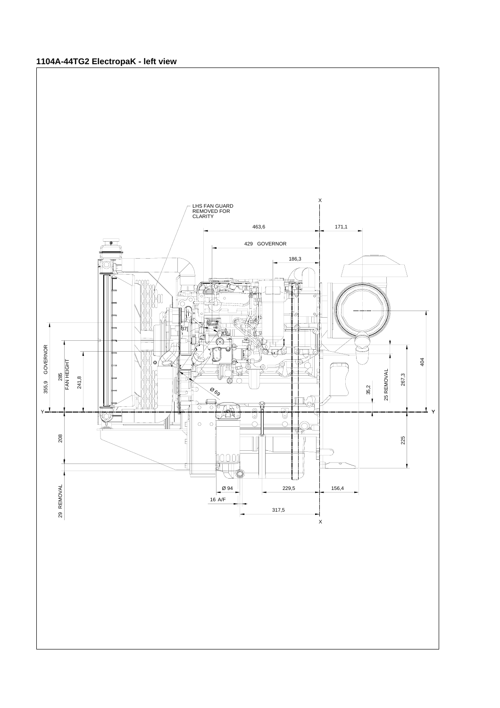### **1104A-44TG2 ElectropaK - left view**

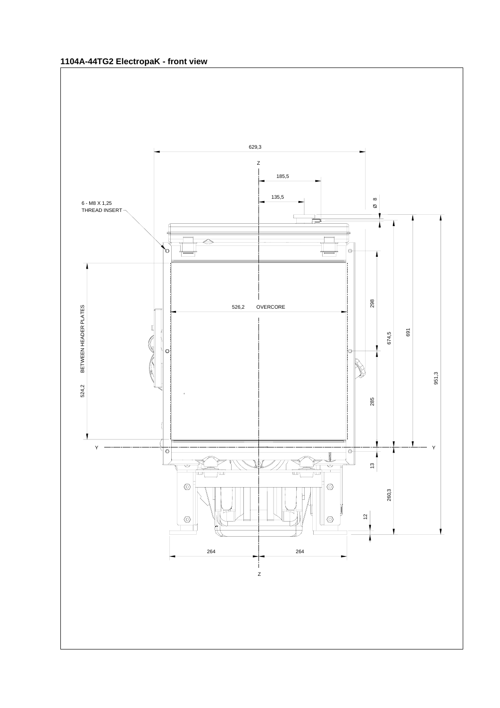### **1104A-44TG2 ElectropaK - front view**

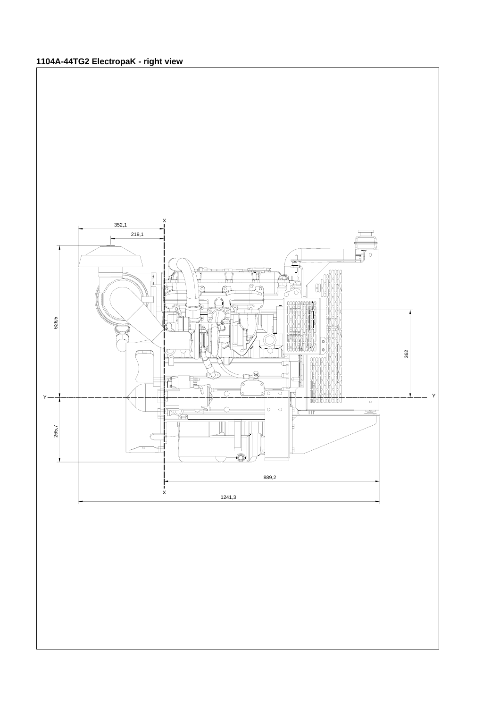## **1104A-44TG2 ElectropaK - right view**

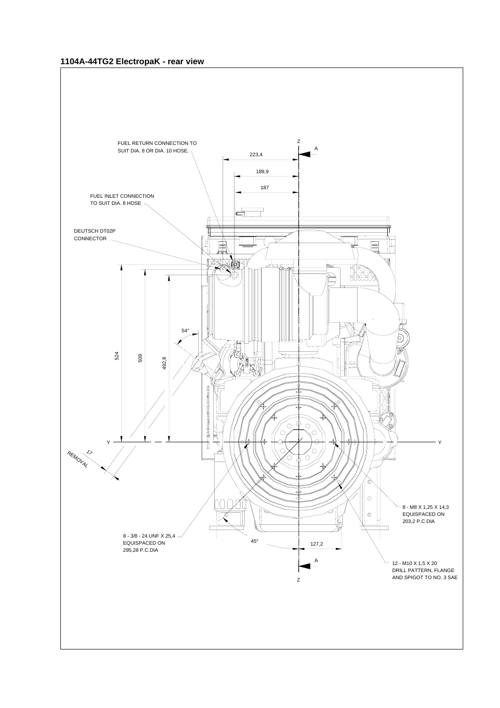#### **1104A-44TG2 ElectropaK - rear view**